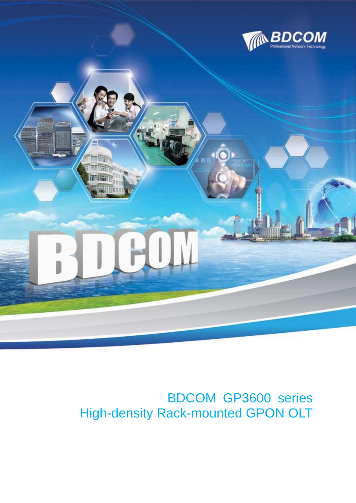



# High-density Rack-mounted GPON OLTBDCOM GP3600 series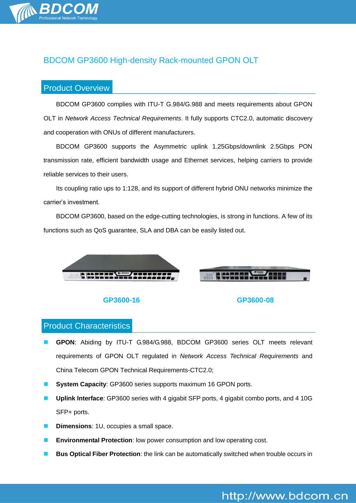

# BDCOM GP3600 High-density Rack-mounted GPON OLT

# Product Overview

BDCOM GP3600 complies with ITU-T G.984/G.988 and meets requirements about GPON OLT in *Network Access Technical Requirements*. It fully supports CTC2.0, automatic discovery and cooperation with ONUs of different manufacturers.

BDCOM GP3600 supports the Asymmetric uplink 1.25Gbps/downlink 2.5Gbps PON transmission rate, efficient bandwidth usage and Ethernet services, helping carriers to provide reliable services to their users.

Its coupling ratio ups to 1:128, and its support of different hybrid ONU networks minimize the carrier's investment.

BDCOM GP3600, based on the edge-cutting technologies, is strong in functions. A few of its functions such as QoS guarantee, SLA and DBA can be easily listed out.





#### **GP3600-16 GP3600-08**

# Product Characteristics

- **GPON**: Abiding by ITU-T G.984/G.988, BDCOM GP3600 series OLT meets relevant requirements of GPON OLT regulated in *Network Access Technical Requirements* and China Telecom GPON Technical Requirements-CTC2.0;
- **System Capacity**: GP3600 series supports maximum 16 GPON ports.
- **Uplink Interface**: GP3600 series with 4 gigabit SFP ports, 4 gigabit combo ports, and 4 10G SFP+ ports.
- **Dimensions**: 1U, occupies a small space.
- **Environmental Protection**: low power consumption and low operating cost.
- **Bus Optical Fiber Protection**: the link can be automatically switched when trouble occurs in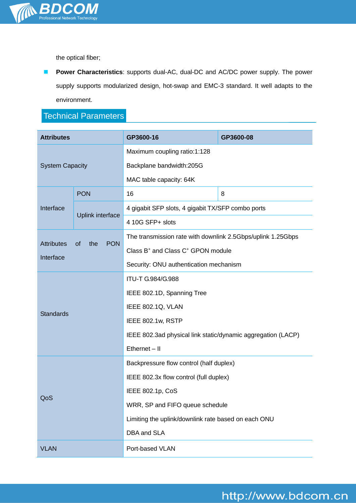

the optical fiber;

**Power Characteristics**: supports dual-AC, dual-DC and AC/DC power supply. The power supply supports modularized design, hot-swap and EMC-3 standard. It well adapts to the environment.

# Technical Parameters

| <b>Attributes</b>              |                                | GP3600-16                                                    | GP3600-08 |
|--------------------------------|--------------------------------|--------------------------------------------------------------|-----------|
| <b>System Capacity</b>         |                                | Maximum coupling ratio:1:128                                 |           |
|                                |                                | Backplane bandwidth:205G                                     |           |
|                                |                                | MAC table capacity: 64K                                      |           |
| Interface                      | <b>PON</b>                     | 16                                                           | 8         |
|                                | Uplink interface               | 4 gigabit SFP slots, 4 gigabit TX/SFP combo ports            |           |
|                                |                                | 4 10G SFP+ slots                                             |           |
| <b>Attributes</b><br>Interface | the<br><b>PON</b><br><b>of</b> | The transmission rate with downlink 2.5Gbps/uplink 1.25Gbps  |           |
|                                |                                | Class B <sup>+</sup> and Class C <sup>+</sup> GPON module    |           |
|                                |                                | Security: ONU authentication mechanism                       |           |
| <b>Standards</b>               |                                | ITU-T G.984/G.988                                            |           |
|                                |                                | IEEE 802.1D, Spanning Tree                                   |           |
|                                |                                | IEEE 802.1Q, VLAN                                            |           |
|                                |                                | IEEE 802.1w, RSTP                                            |           |
|                                |                                | IEEE 802.3ad physical link static/dynamic aggregation (LACP) |           |
|                                |                                | $E$ thernet $-$ II                                           |           |
| QoS                            |                                | Backpressure flow control (half duplex)                      |           |
|                                |                                | IEEE 802.3x flow control (full duplex)                       |           |
|                                |                                | IEEE 802.1p, CoS                                             |           |
|                                |                                | WRR, SP and FIFO queue schedule                              |           |
|                                |                                | Limiting the uplink/downlink rate based on each ONU          |           |
|                                |                                | DBA and SLA                                                  |           |
| <b>VLAN</b>                    |                                | Port-based VLAN                                              |           |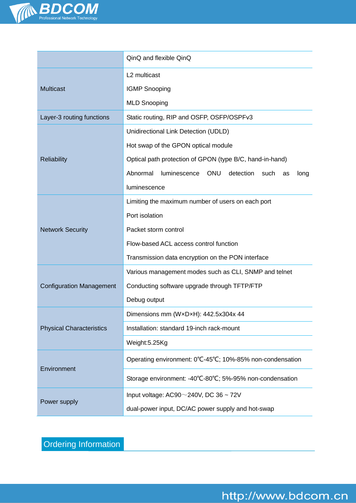

|                                 | QinQ and flexible QinQ                                                    |  |
|---------------------------------|---------------------------------------------------------------------------|--|
|                                 | L2 multicast                                                              |  |
| <b>Multicast</b>                | <b>IGMP Snooping</b>                                                      |  |
|                                 | <b>MLD Snooping</b>                                                       |  |
| Layer-3 routing functions       | Static routing, RIP and OSFP, OSFP/OSPFv3                                 |  |
|                                 | Unidirectional Link Detection (UDLD)                                      |  |
|                                 | Hot swap of the GPON optical module                                       |  |
| <b>Reliability</b>              | Optical path protection of GPON (type B/C, hand-in-hand)                  |  |
|                                 | Abnormal<br><b>ONU</b><br>luminescence<br>detection<br>such<br>long<br>as |  |
|                                 | luminescence                                                              |  |
|                                 | Limiting the maximum number of users on each port                         |  |
|                                 | Port isolation                                                            |  |
| <b>Network Security</b>         | Packet storm control                                                      |  |
|                                 | Flow-based ACL access control function                                    |  |
|                                 | Transmission data encryption on the PON interface                         |  |
|                                 | Various management modes such as CLI, SNMP and telnet                     |  |
| <b>Configuration Management</b> | Conducting software upgrade through TFTP/FTP                              |  |
|                                 | Debug output                                                              |  |
|                                 | Dimensions mm (WxDxH): 442.5x304x 44                                      |  |
| <b>Physical Characteristics</b> | Installation: standard 19-inch rack-mount                                 |  |
|                                 | Weight:5.25Kg                                                             |  |
| Environment                     | Operating environment: 0°C-45°C; 10%-85% non-condensation                 |  |
|                                 | Storage environment: -40°C-80°C; 5%-95% non-condensation                  |  |
| Power supply                    | Input voltage: AC90 $\sim$ 240V, DC 36 $\sim$ 72V                         |  |
|                                 | dual-power input, DC/AC power supply and hot-swap                         |  |

Ordering Information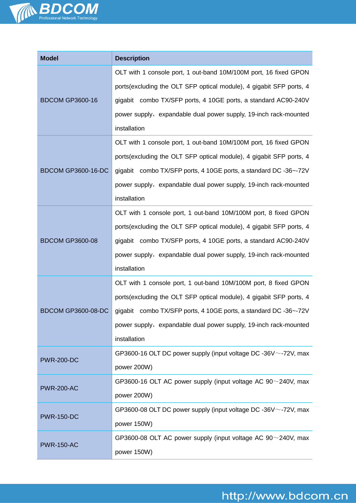

| <b>Model</b>              | <b>Description</b>                                                    |  |
|---------------------------|-----------------------------------------------------------------------|--|
|                           | OLT with 1 console port, 1 out-band 10M/100M port, 16 fixed GPON      |  |
|                           | ports (excluding the OLT SFP optical module), 4 gigabit SFP ports, 4  |  |
| <b>BDCOM GP3600-16</b>    | gigabit combo TX/SFP ports, 4 10GE ports, a standard AC90-240V        |  |
|                           | power supply, expandable dual power supply, 19-inch rack-mounted      |  |
|                           | installation                                                          |  |
|                           | OLT with 1 console port, 1 out-band 10M/100M port, 16 fixed GPON      |  |
|                           | ports (excluding the OLT SFP optical module), 4 gigabit SFP ports, 4  |  |
| <b>BDCOM GP3600-16-DC</b> | gigabit combo TX/SFP ports, 4 10GE ports, a standard DC -36~-72V      |  |
|                           | power supply, expandable dual power supply, 19-inch rack-mounted      |  |
|                           | installation                                                          |  |
|                           | OLT with 1 console port, 1 out-band 10M/100M port, 8 fixed GPON       |  |
|                           | ports(excluding the OLT SFP optical module), 4 gigabit SFP ports, 4   |  |
| <b>BDCOM GP3600-08</b>    | gigabit combo TX/SFP ports, 4 10GE ports, a standard AC90-240V        |  |
|                           | power supply, expandable dual power supply, 19-inch rack-mounted      |  |
|                           | installation                                                          |  |
|                           | OLT with 1 console port, 1 out-band 10M/100M port, 8 fixed GPON       |  |
|                           | ports (excluding the OLT SFP optical module), 4 gigabit SFP ports, 4  |  |
| <b>BDCOM GP3600-08-DC</b> | gigabit combo TX/SFP ports, 4 10GE ports, a standard DC -36~-72V      |  |
|                           | power supply, expandable dual power supply, 19-inch rack-mounted      |  |
|                           | installation                                                          |  |
| <b>PWR-200-DC</b>         | GP3600-16 OLT DC power supply (input voltage DC -36V $\sim$ -72V, max |  |
|                           | power 200W)                                                           |  |
| <b>PWR-200-AC</b>         | GP3600-16 OLT AC power supply (input voltage AC $90~240$ V, max       |  |
|                           | power 200W)                                                           |  |
| <b>PWR-150-DC</b>         | GP3600-08 OLT DC power supply (input voltage DC -36V $\sim$ -72V, max |  |
|                           | power 150W)                                                           |  |
| <b>PWR-150-AC</b>         | GP3600-08 OLT AC power supply (input voltage AC $90^\circ$ -240V, max |  |
|                           | power 150W)                                                           |  |